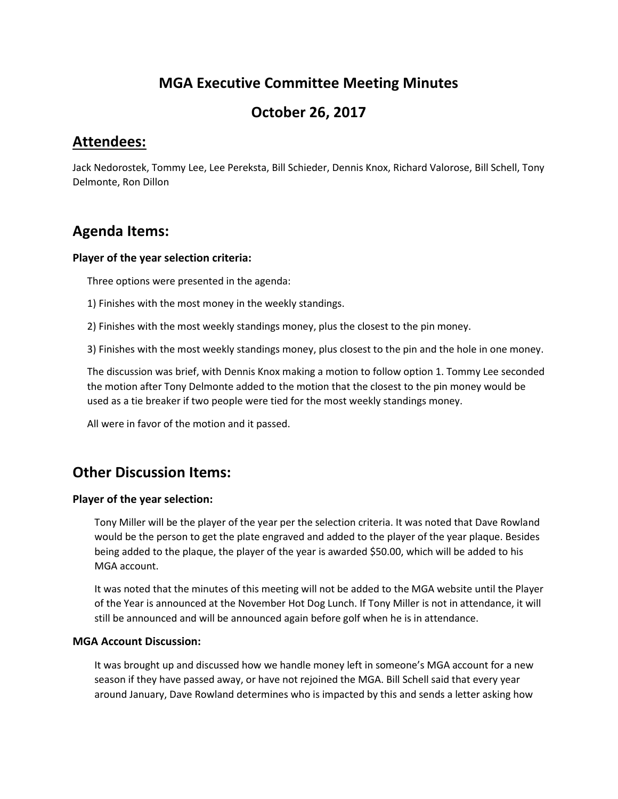## **MGA Executive Committee Meeting Minutes**

## **October 26, 2017**

### **Attendees:**

Jack Nedorostek, Tommy Lee, Lee Pereksta, Bill Schieder, Dennis Knox, Richard Valorose, Bill Schell, Tony Delmonte, Ron Dillon

# **Agenda Items:**

### **Player of the year selection criteria:**

Three options were presented in the agenda:

- 1) Finishes with the most money in the weekly standings.
- 2) Finishes with the most weekly standings money, plus the closest to the pin money.

3) Finishes with the most weekly standings money, plus closest to the pin and the hole in one money.

The discussion was brief, with Dennis Knox making a motion to follow option 1. Tommy Lee seconded the motion after Tony Delmonte added to the motion that the closest to the pin money would be used as a tie breaker if two people were tied for the most weekly standings money.

All were in favor of the motion and it passed.

### **Other Discussion Items:**

### **Player of the year selection:**

Tony Miller will be the player of the year per the selection criteria. It was noted that Dave Rowland would be the person to get the plate engraved and added to the player of the year plaque. Besides being added to the plaque, the player of the year is awarded \$50.00, which will be added to his MGA account.

It was noted that the minutes of this meeting will not be added to the MGA website until the Player of the Year is announced at the November Hot Dog Lunch. If Tony Miller is not in attendance, it will still be announced and will be announced again before golf when he is in attendance.

### **MGA Account Discussion:**

It was brought up and discussed how we handle money left in someone's MGA account for a new season if they have passed away, or have not rejoined the MGA. Bill Schell said that every year around January, Dave Rowland determines who is impacted by this and sends a letter asking how